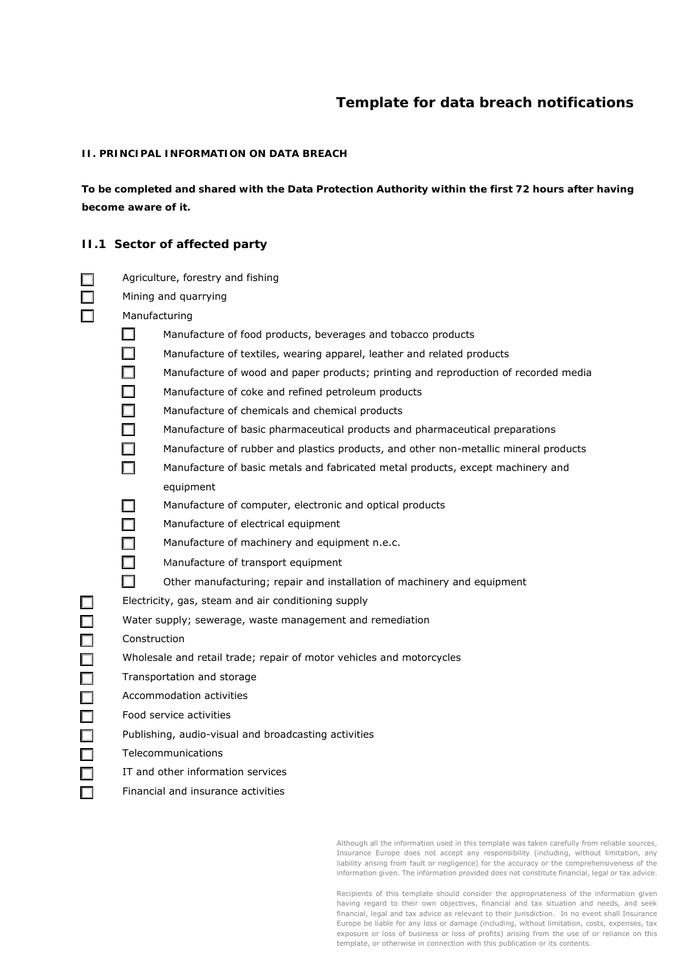# **Template for data breach notifications**

#### **II. PRINCIPAL INFORMATION ON DATA BREACH**

*To be completed and shared with the Data Protection Authority within the first 72 hours after having become aware of it.*

#### **II.1 Sector of affected party**

|                      | Agriculture, forestry and fishing |  |
|----------------------|-----------------------------------|--|
| Mining and quarrying |                                   |  |

- ☐ Manufacturing
	- $\Box$  Manufacture of food products, beverages and tobacco products
	- $\Box$  Manufacture of textiles, wearing apparel, leather and related products
	- □ Manufacture of wood and paper products; printing and reproduction of recorded media
	- $\Box$  Manufacture of coke and refined petroleum products
	- $\Box$  Manufacture of chemicals and chemical products
	- Manufacture of basic pharmaceutical products and pharmaceutical preparations
	- Manufacture of rubber and plastics products, and other non-metallic mineral products
	- $\Box$  Manufacture of basic metals and fabricated metal products, except machinery and equipment
	- $\Box$  Manufacture of computer, electronic and optical products
	- $\Box$  Manufacture of electrical equipment
	- $\Box$  Manufacture of machinery and equipment n.e.c.
	- $\Box$  Manufacture of transport equipment
	- ☐ Other manufacturing; repair and installation of machinery and equipment

 $\Box$  Electricity, gas, steam and air conditioning supply

- $\Box$  Water supply; sewerage, waste management and remediation
	- **Construction**
	- Wholesale and retail trade; repair of motor vehicles and motorcycles
	- Transportation and storage
- $\Box$  Accommodation activities
- $\nabla$  Food service activities
	- Publishing, audio-visual and broadcasting activities
- $\neg$  Telecommunications
	- IT and other information services
- $\n  $\Box$ \n  $\Box$ \n  $\Box$$

Although all the information used in this template was taken carefully from reliable sources, Insurance Europe does not accept any responsibility (including, without limitation, any liability arising from fault or negligence) for the accuracy or the comprehensiveness of the information given. The information provided does not constitute financial, legal or tax advice.

Recipients of this template should consider the appropriateness of the information given having regard to their own objectives, financial and tax situation and needs, and seek financial, legal and tax advice as relevant to their jurisdiction. In no event shall Insurance Europe be liable for any loss or damage (including, without limitation, costs, expenses, tax exposure or loss of business or loss of profits) arising from the use of or reliance on this template, or otherwise in connection with this publication or its contents.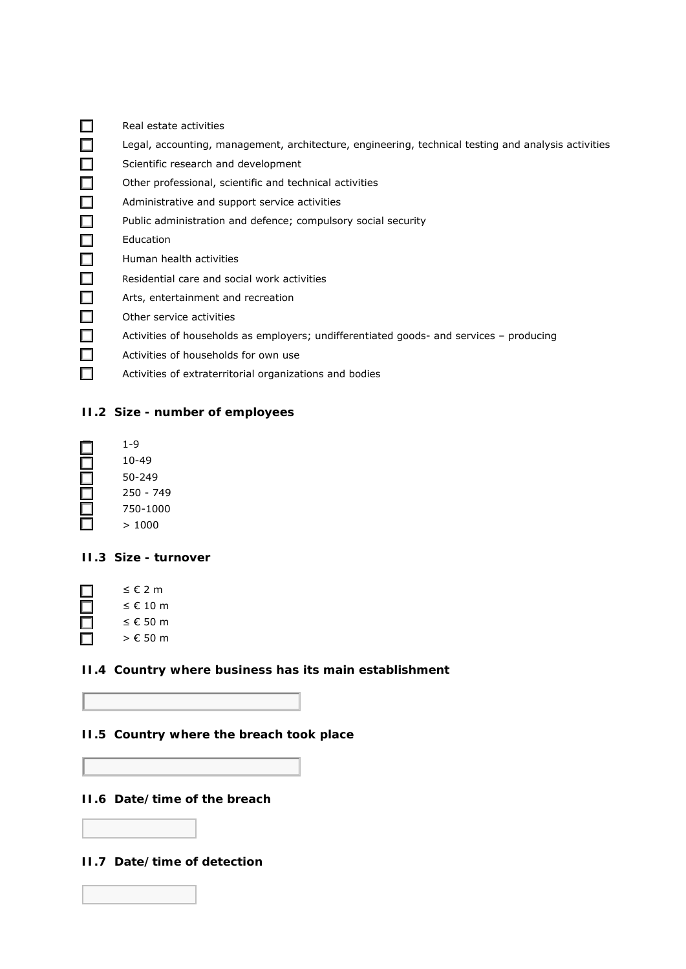|        | Real estate activities                                                                              |
|--------|-----------------------------------------------------------------------------------------------------|
|        | Legal, accounting, management, architecture, engineering, technical testing and analysis activities |
|        | Scientific research and development                                                                 |
|        | Other professional, scientific and technical activities                                             |
| ш      | Administrative and support service activities                                                       |
| $\Box$ | Public administration and defence; compulsory social security                                       |
|        | Education                                                                                           |
| $\Box$ | Human health activities                                                                             |
| $\Box$ | Residential care and social work activities                                                         |
| ш      | Arts, entertainment and recreation                                                                  |
| Ш      | Other service activities                                                                            |
| ш      | Activities of households as employers; undifferentiated goods- and services – producing             |
|        | Activities of households for own use                                                                |
|        | Activities of extraterritorial organizations and bodies                                             |

### **II.2 Size - number of employees**

| 1-9       |
|-----------|
| 10-49     |
| 50-249    |
| 250 - 749 |
| 750-1000  |
| 1000      |

### **II.3 Size - turnover**

| < € 2 m    |
|------------|
| $≤$ € 10 m |
| $≤$ € 50 m |
| > € 50 m   |

## **II.4 Country where business has its main establishment**

## **II.5 Country where the breach took place**

**II.6 Date/time of the breach**

### **II.7 Date/time of detection**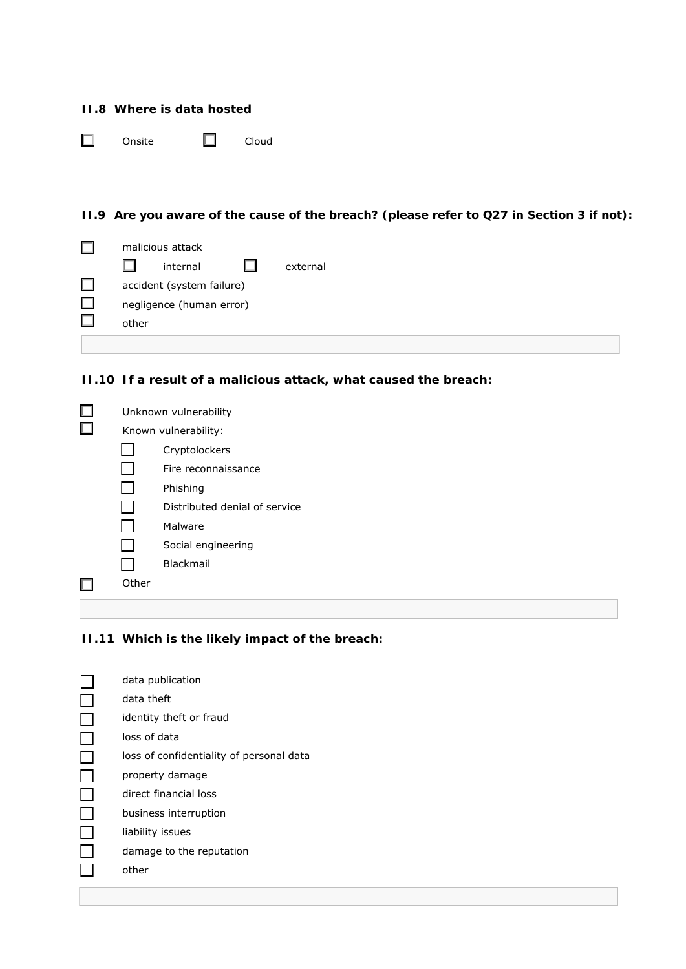|  | II.8 Where is data hosted |  |  |
|--|---------------------------|--|--|
|  |                           |  |  |

☐ Onsite ☐ Cloud

**II.9 Are you aware of the cause of the breach? (please refer to Q27 in Section 3 if not):**

| malicious attack          |          |  |          |  |
|---------------------------|----------|--|----------|--|
|                           | internal |  | external |  |
| accident (system failure) |          |  |          |  |
| negligence (human error)  |          |  |          |  |
| other                     |          |  |          |  |
|                           |          |  |          |  |

**II.10 If a result of a malicious attack, what caused the breach:**

| Unknown vulnerability |                               |  |  |  |
|-----------------------|-------------------------------|--|--|--|
| Known vulnerability:  |                               |  |  |  |
|                       | Cryptolockers                 |  |  |  |
|                       | Fire reconnaissance           |  |  |  |
|                       | Phishing                      |  |  |  |
|                       | Distributed denial of service |  |  |  |
|                       | Malware                       |  |  |  |
|                       | Social engineering            |  |  |  |
|                       | <b>Blackmail</b>              |  |  |  |
| Other                 |                               |  |  |  |
|                       |                               |  |  |  |

## **II.11 Which is the likely impact of the breach:**

| data publication                         |
|------------------------------------------|
| data theft                               |
| identity theft or fraud                  |
| loss of data                             |
| loss of confidentiality of personal data |
| property damage                          |
| direct financial loss                    |
| business interruption                    |
| liability issues                         |
| damage to the reputation                 |
| other                                    |